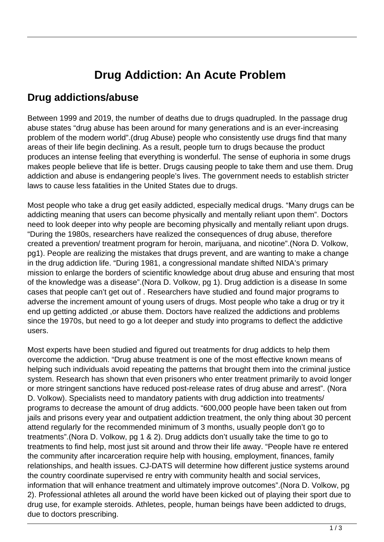## **Drug Addiction: An Acute Problem**

## **Drug addictions/abuse**

Between 1999 and 2019, the number of deaths due to drugs quadrupled. In the passage drug abuse states "drug abuse has been around for many generations and is an ever-increasing problem of the modern world".(drug Abuse) people who consistently use drugs find that many areas of their life begin declining. As a result, people turn to drugs because the product produces an intense feeling that everything is wonderful. The sense of euphoria in some drugs makes people believe that life is better. Drugs causing people to take them and use them. Drug addiction and abuse is endangering people's lives. The government needs to establish stricter laws to cause less fatalities in the United States due to drugs.

Most people who take a drug get easily addicted, especially medical drugs. "Many drugs can be addicting meaning that users can become physically and mentally reliant upon them". Doctors need to look deeper into why people are becoming physically and mentally reliant upon drugs. "During the 1980s, researchers have realized the consequences of drug abuse, therefore created a prevention/ treatment program for heroin, marijuana, and nicotine".(Nora D. Volkow, pg1). People are realizing the mistakes that drugs prevent, and are wanting to make a change in the drug addiction life. "During 1981, a congressional mandate shifted NIDA's primary mission to enlarge the borders of scientific knowledge about drug abuse and ensuring that most of the knowledge was a disease".(Nora D. Volkow, pg 1). Drug addiction is a disease In some cases that people can't get out of . Researchers have studied and found major programs to adverse the increment amount of young users of drugs. Most people who take a drug or try it end up getting addicted ,or abuse them. Doctors have realized the addictions and problems since the 1970s, but need to go a lot deeper and study into programs to deflect the addictive users.

Most experts have been studied and figured out treatments for drug addicts to help them overcome the addiction. "Drug abuse treatment is one of the most effective known means of helping such individuals avoid repeating the patterns that brought them into the criminal justice system. Research has shown that even prisoners who enter treatment primarily to avoid longer or more stringent sanctions have reduced post-release rates of drug abuse and arrest". (Nora D. Volkow). Specialists need to mandatory patients with drug addiction into treatments/ programs to decrease the amount of drug addicts. "600,000 people have been taken out from jails and prisons every year and outpatient addiction treatment, the only thing about 30 percent attend regularly for the recommended minimum of 3 months, usually people don't go to treatments".(Nora D. Volkow, pg 1 & 2). Drug addicts don't usually take the time to go to treatments to find help, most just sit around and throw their life away. "People have re entered the community after incarceration require help with housing, employment, finances, family relationships, and health issues. CJ-DATS will determine how different justice systems around the country coordinate supervised re entry with community health and social services, information that will enhance treatment and ultimately improve outcomes".(Nora D. Volkow, pg 2). Professional athletes all around the world have been kicked out of playing their sport due to drug use, for example steroids. Athletes, people, human beings have been addicted to drugs, due to doctors prescribing.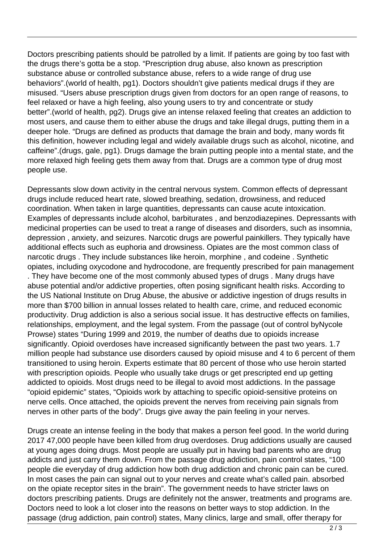Doctors prescribing patients should be patrolled by a limit. If patients are going by too fast with the drugs there's gotta be a stop. "Prescription drug abuse, also known as prescription substance abuse or controlled substance abuse, refers to a wide range of drug use behaviors".(world of health, pg1). Doctors shouldn't give patients medical drugs if they are misused. "Users abuse prescription drugs given from doctors for an open range of reasons, to feel relaxed or have a high feeling, also young users to try and concentrate or study better".(world of health, pg2). Drugs give an intense relaxed feeling that creates an addiction to most users, and cause them to either abuse the drugs and take illegal drugs, putting them in a deeper hole. "Drugs are defined as products that damage the brain and body, many words fit this definition, however including legal and widely available drugs such as alcohol, nicotine, and caffeine".(drugs, gale, pg1). Drugs damage the brain putting people into a mental state, and the more relaxed high feeling gets them away from that. Drugs are a common type of drug most people use.

Depressants slow down activity in the central nervous system. Common effects of depressant drugs include reduced heart rate, slowed breathing, sedation, drowsiness, and reduced coordination. When taken in large quantities, depressants can cause acute intoxication. Examples of depressants include alcohol, barbiturates , and benzodiazepines. Depressants with medicinal properties can be used to treat a range of diseases and disorders, such as insomnia, depression , anxiety, and seizures. Narcotic drugs are powerful painkillers. They typically have additional effects such as euphoria and drowsiness. Opiates are the most common class of narcotic drugs . They include substances like heroin, morphine , and codeine . Synthetic opiates, including oxycodone and hydrocodone, are frequently prescribed for pain management . They have become one of the most commonly abused types of drugs . Many drugs have abuse potential and/or addictive properties, often posing significant health risks. According to the US National Institute on Drug Abuse, the abusive or addictive ingestion of drugs results in more than \$700 billion in annual losses related to health care, crime, and reduced economic productivity. Drug addiction is also a serious social issue. It has destructive effects on families, relationships, employment, and the legal system. From the passage (out of control byNycole Prowse) states "During 1999 and 2019, the number of deaths due to opioids increase significantly. Opioid overdoses have increased significantly between the past two years. 1.7 million people had substance use disorders caused by opioid misuse and 4 to 6 percent of them transitioned to using heroin. Experts estimate that 80 percent of those who use heroin started with prescription opioids. People who usually take drugs or get prescripted end up getting addicted to opioids. Most drugs need to be illegal to avoid most addictions. In the passage "opioid epidemic" states, "Opioids work by attaching to specific opioid-sensitive proteins on nerve cells. Once attached, the opioids prevent the nerves from receiving pain signals from nerves in other parts of the body". Drugs give away the pain feeling in your nerves.

Drugs create an intense feeling in the body that makes a person feel good. In the world during 2017 47,000 people have been killed from drug overdoses. Drug addictions usually are caused at young ages doing drugs. Most people are usually put in having bad parents who are drug addicts and just carry them down. From the passage drug addiction, pain control states, "100 people die everyday of drug addiction how both drug addiction and chronic pain can be cured. In most cases the pain can signal out to your nerves and create what's called pain. absorbed on the opiate receptor sites in the brain". The government needs to have stricter laws on doctors prescribing patients. Drugs are definitely not the answer, treatments and programs are. Doctors need to look a lot closer into the reasons on better ways to stop addiction. In the passage (drug addiction, pain control) states, Many clinics, large and small, offer therapy for